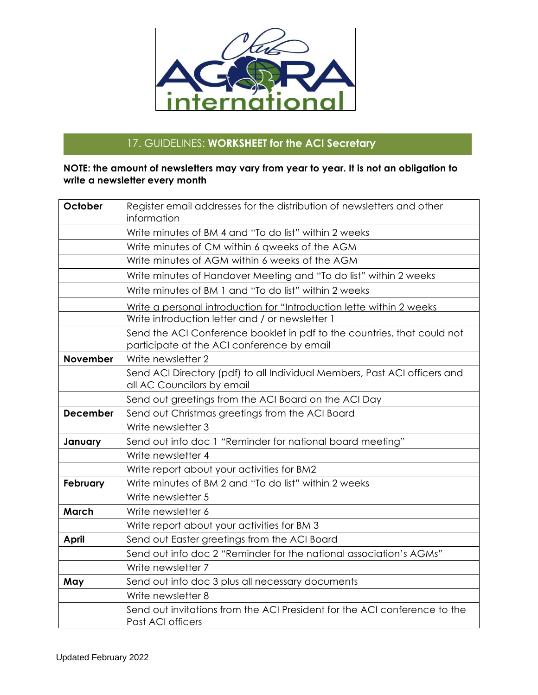

## 17. GUIDELINES: **WORKSHEET for the ACI Secretary**

## **NOTE: the amount of newsletters may vary from year to year. It is not an obligation to write a newsletter every month**

| October         | Register email addresses for the distribution of newsletters and other<br>information |
|-----------------|---------------------------------------------------------------------------------------|
|                 |                                                                                       |
|                 | Write minutes of BM 4 and "To do list" within 2 weeks                                 |
|                 | Write minutes of CM within 6 qweeks of the AGM                                        |
|                 | Write minutes of AGM within 6 weeks of the AGM                                        |
|                 | Write minutes of Handover Meeting and "To do list" within 2 weeks                     |
|                 | Write minutes of BM 1 and "To do list" within 2 weeks                                 |
|                 | Write a personal introduction for "Introduction lette within 2 weeks                  |
|                 | Write introduction letter and / or newsletter 1                                       |
|                 | Send the ACI Conference booklet in pdf to the countries, that could not               |
|                 | participate at the ACI conference by email                                            |
| <b>November</b> | Write newsletter 2                                                                    |
|                 | Send ACI Directory (pdf) to all Individual Members, Past ACI officers and             |
|                 | all AC Councilors by email                                                            |
|                 | Send out greetings from the ACI Board on the ACI Day                                  |
| <b>December</b> | Send out Christmas greetings from the ACI Board                                       |
|                 | Write newsletter 3                                                                    |
| January         | Send out info doc 1 "Reminder for national board meeting"                             |
|                 | Write newsletter 4                                                                    |
|                 | Write report about your activities for BM2                                            |
| <b>February</b> | Write minutes of BM 2 and "To do list" within 2 weeks                                 |
|                 | Write newsletter 5                                                                    |
| <b>March</b>    | Write newsletter 6                                                                    |
|                 | Write report about your activities for BM 3                                           |
| <b>April</b>    | Send out Easter greetings from the ACI Board                                          |
|                 | Send out info doc 2 "Reminder for the national association's AGMs"                    |
|                 | Write newsletter 7                                                                    |
| May             | Send out info doc 3 plus all necessary documents                                      |
|                 | Write newsletter 8                                                                    |
|                 | Send out invitations from the ACI President for the ACI conference to the             |
|                 | Past ACI officers                                                                     |